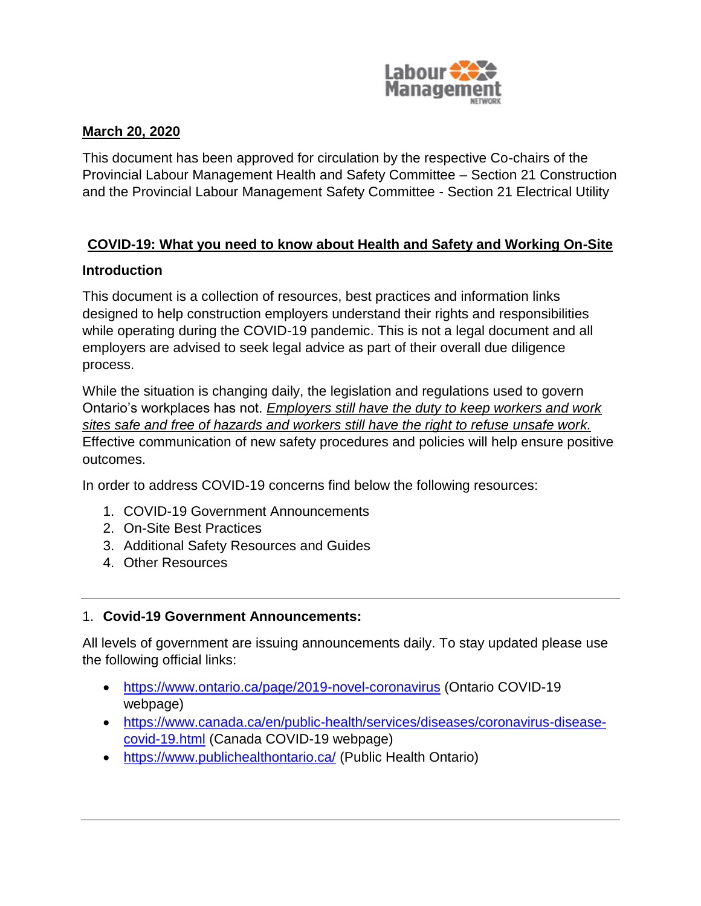

#### **March 20, 2020**

This document has been approved for circulation by the respective Co-chairs of the Provincial Labour Management Health and Safety Committee – Section 21 Construction and the Provincial Labour Management Safety Committee - Section 21 Electrical Utility

# **COVID-19: What you need to know about Health and Safety and Working On-Site**

## **Introduction**

This document is a collection of resources, best practices and information links designed to help construction employers understand their rights and responsibilities while operating during the COVID-19 pandemic. This is not a legal document and all employers are advised to seek legal advice as part of their overall due diligence process.

While the situation is changing daily, the legislation and regulations used to govern Ontario's workplaces has not. *Employers still have the duty to keep workers and work sites safe and free of hazards and workers still have the right to refuse unsafe work.* Effective communication of new safety procedures and policies will help ensure positive outcomes.

In order to address COVID-19 concerns find below the following resources:

- 1. COVID-19 Government Announcements
- 2. On-Site Best Practices
- 3. Additional Safety Resources and Guides
- 4. Other Resources

## 1. **Covid-19 Government Announcements:**

All levels of government are issuing announcements daily. To stay updated please use the following official links:

- <https://www.ontario.ca/page/2019-novel-coronavirus> (Ontario COVID-19 webpage)
- [https://www.canada.ca/en/public-health/services/diseases/coronavirus-disease](https://www.canada.ca/en/public-health/services/diseases/coronavirus-disease-covid-19.html)[covid-19.html](https://www.canada.ca/en/public-health/services/diseases/coronavirus-disease-covid-19.html) (Canada COVID-19 webpage)
- <https://www.publichealthontario.ca/> (Public Health Ontario)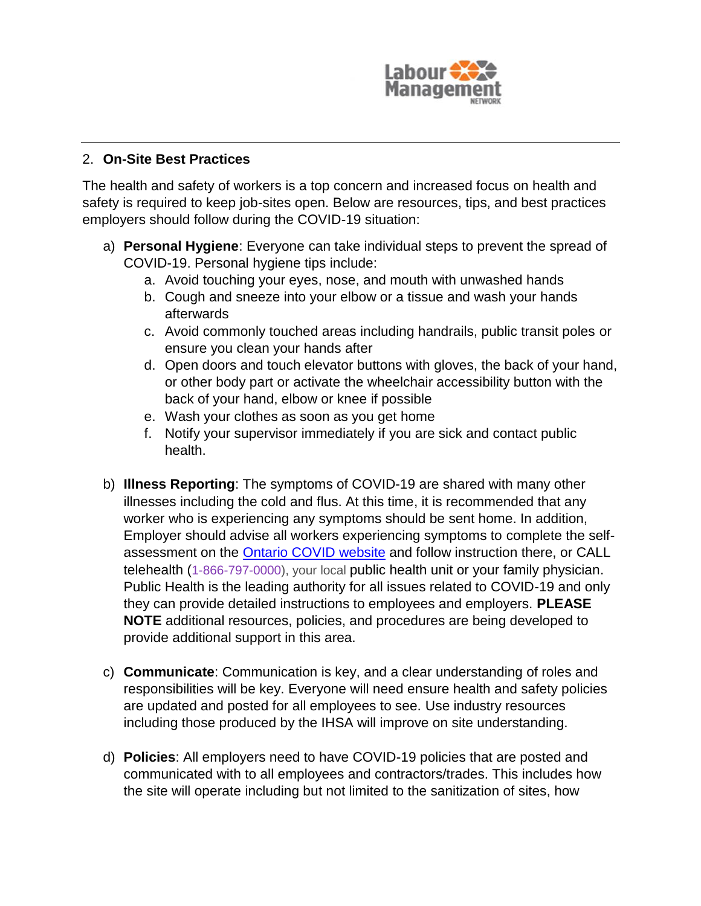

## 2. **On-Site Best Practices**

The health and safety of workers is a top concern and increased focus on health and safety is required to keep job-sites open. Below are resources, tips, and best practices employers should follow during the COVID-19 situation:

- a) **Personal Hygiene**: Everyone can take individual steps to prevent the spread of COVID-19. Personal hygiene tips include:
	- a. Avoid touching your eyes, nose, and mouth with unwashed hands
	- b. Cough and sneeze into your elbow or a tissue and wash your hands afterwards
	- c. Avoid commonly touched areas including handrails, public transit poles or ensure you clean your hands after
	- d. Open doors and touch elevator buttons with gloves, the back of your hand, or other body part or activate the wheelchair accessibility button with the back of your hand, elbow or knee if possible
	- e. Wash your clothes as soon as you get home
	- f. Notify your supervisor immediately if you are sick and contact public health.
- b) **Illness Reporting**: The symptoms of COVID-19 are shared with many other illnesses including the cold and flus. At this time, it is recommended that any worker who is experiencing any symptoms should be sent home. In addition, Employer should advise all workers experiencing symptoms to complete the selfassessment on the **Ontario COVID** website and follow instruction there, or CALL telehealth ([1-866-797-0000\)](tel:+18667970000), your local public health unit or your family physician. Public Health is the leading authority for all issues related to COVID-19 and only they can provide detailed instructions to employees and employers. **PLEASE NOTE** additional resources, policies, and procedures are being developed to provide additional support in this area.
- c) **Communicate**: Communication is key, and a clear understanding of roles and responsibilities will be key. Everyone will need ensure health and safety policies are updated and posted for all employees to see. Use industry resources including those produced by the IHSA will improve on site understanding.
- d) **Policies**: All employers need to have COVID-19 policies that are posted and communicated with to all employees and contractors/trades. This includes how the site will operate including but not limited to the sanitization of sites, how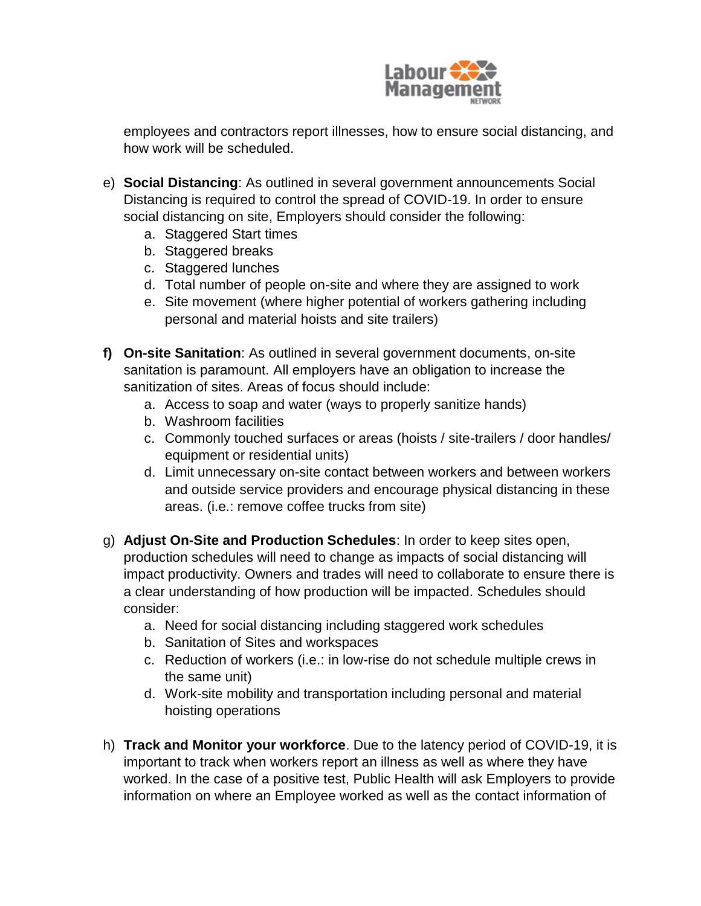

employees and contractors report illnesses, how to ensure social distancing, and how work will be scheduled.

- e) **Social Distancing**: As outlined in several government announcements Social Distancing is required to control the spread of COVID-19. In order to ensure social distancing on site, Employers should consider the following:
	- a. Staggered Start times
	- b. Staggered breaks
	- c. Staggered lunches
	- d. Total number of people on-site and where they are assigned to work
	- e. Site movement (where higher potential of workers gathering including personal and material hoists and site trailers)
- **f) On-site Sanitation**: As outlined in several government documents, on-site sanitation is paramount. All employers have an obligation to increase the sanitization of sites. Areas of focus should include:
	- a. Access to soap and water (ways to properly sanitize hands)
	- b. Washroom facilities
	- c. Commonly touched surfaces or areas (hoists / site-trailers / door handles/ equipment or residential units)
	- d. Limit unnecessary on-site contact between workers and between workers and outside service providers and encourage physical distancing in these areas. (i.e.: remove coffee trucks from site)
- g) **Adjust On-Site and Production Schedules**: In order to keep sites open, production schedules will need to change as impacts of social distancing will impact productivity. Owners and trades will need to collaborate to ensure there is a clear understanding of how production will be impacted. Schedules should consider:
	- a. Need for social distancing including staggered work schedules
	- b. Sanitation of Sites and workspaces
	- c. Reduction of workers (i.e.: in low-rise do not schedule multiple crews in the same unit)
	- d. Work-site mobility and transportation including personal and material hoisting operations
- h) **Track and Monitor your workforce**. Due to the latency period of COVID-19, it is important to track when workers report an illness as well as where they have worked. In the case of a positive test, Public Health will ask Employers to provide information on where an Employee worked as well as the contact information of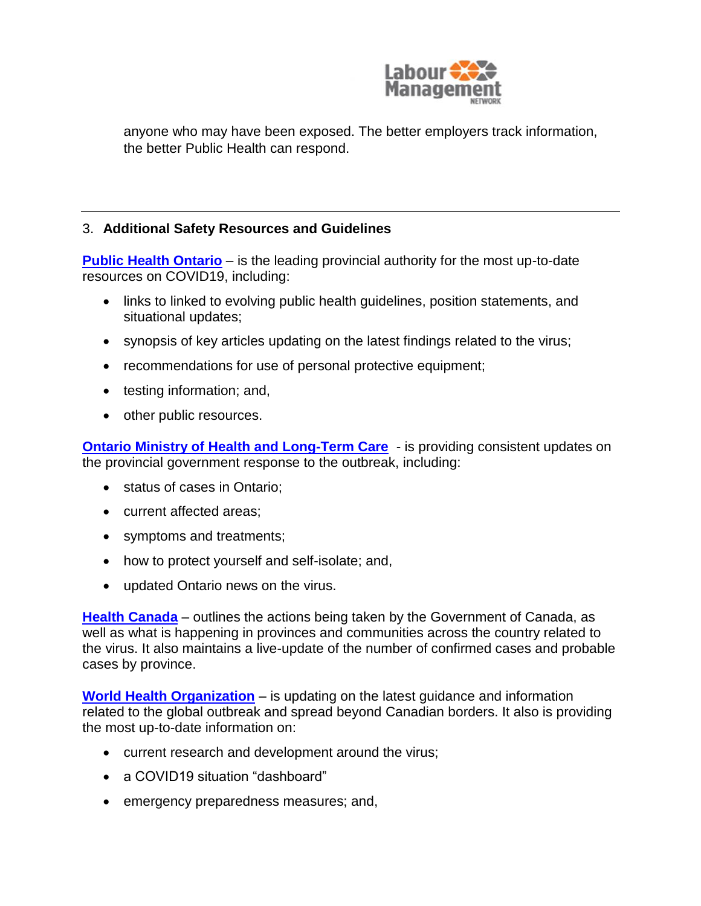

anyone who may have been exposed. The better employers track information, the better Public Health can respond.

## 3. **Additional Safety Resources and Guidelines**

**[Public Health Ontario](https://www.publichealthontario.ca/en/diseases-and-conditions/infectious-diseases/respiratory-diseases/novel-coronavirus)** – is the leading provincial authority for the most up-to-date resources on COVID19, including:

- links to linked to evolving public health guidelines, position statements, and situational updates;
- synopsis of key articles updating on the latest findings related to the virus;
- recommendations for use of personal protective equipment;
- testing information; and,
- other public resources.

**[Ontario Ministry of Health and Long-Term Care](https://www.ontario.ca/page/2019-novel-coronavirus?_ga=2.121281546.363191088.1584548041-603339049.1583855134)** - is providing consistent updates on the provincial government response to the outbreak, including:

- status of cases in Ontario;
- current affected areas:
- symptoms and treatments;
- how to protect yourself and self-isolate; and,
- updated Ontario news on the virus.

**[Health Canada](https://www.canada.ca/en/public-health/services/diseases/coronavirus-disease-covid-19.html)** – outlines the actions being taken by the Government of Canada, as well as what is happening in provinces and communities across the country related to the virus. It also maintains a live-update of the number of confirmed cases and probable cases by province.

**[World Health Organization](https://www.who.int/emergencies/diseases/novel-coronavirus-2019)** – is updating on the latest guidance and information related to the global outbreak and spread beyond Canadian borders. It also is providing the most up-to-date information on:

- current research and development around the virus;
- a COVID19 situation "dashboard"
- emergency preparedness measures; and,